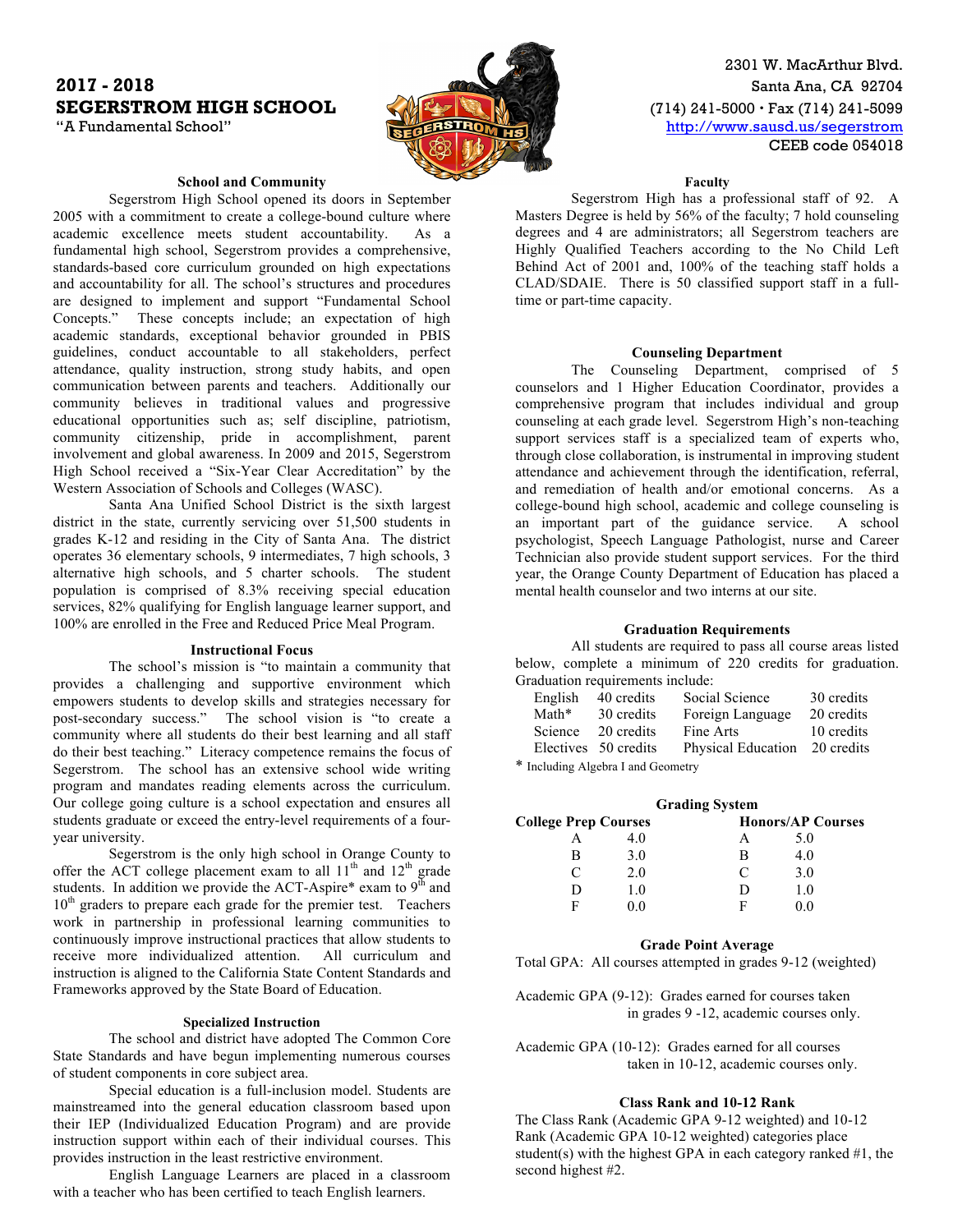# **2017 - 2018** Santa Ana, CA 92704 **SEGERSTROM HIGH SCHOOL (714) 241-5000 · Fax (714) 241-5099**



2301 W. MacArthur Blvd. "A Fundamental School" **http://www.sausd.us/segerstrom** CEEB code 054018

# **School and Community**

Segerstrom High School opened its doors in September 2005 with a commitment to create a college-bound culture where academic excellence meets student accountability. As a fundamental high school, Segerstrom provides a comprehensive, standards-based core curriculum grounded on high expectations and accountability for all. The school's structures and procedures are designed to implement and support "Fundamental School Concepts." These concepts include; an expectation of high academic standards, exceptional behavior grounded in PBIS guidelines, conduct accountable to all stakeholders, perfect attendance, quality instruction, strong study habits, and open communication between parents and teachers. Additionally our community believes in traditional values and progressive educational opportunities such as; self discipline, patriotism, community citizenship, pride in accomplishment, parent involvement and global awareness. In 2009 and 2015, Segerstrom High School received a "Six-Year Clear Accreditation" by the Western Association of Schools and Colleges (WASC).

Santa Ana Unified School District is the sixth largest district in the state, currently servicing over 51,500 students in grades K-12 and residing in the City of Santa Ana. The district operates 36 elementary schools, 9 intermediates, 7 high schools, 3 alternative high schools, and 5 charter schools. The student population is comprised of 8.3% receiving special education services, 82% qualifying for English language learner support, and 100% are enrolled in the Free and Reduced Price Meal Program.

### **Instructional Focus**

The school's mission is "to maintain a community that provides a challenging and supportive environment which empowers students to develop skills and strategies necessary for post-secondary success." The school vision is "to create a community where all students do their best learning and all staff do their best teaching." Literacy competence remains the focus of Segerstrom. The school has an extensive school wide writing program and mandates reading elements across the curriculum. Our college going culture is a school expectation and ensures all students graduate or exceed the entry-level requirements of a fouryear university.

Segerstrom is the only high school in Orange County to offer the ACT college placement exam to all  $11<sup>th</sup>$  and  $12<sup>th</sup>$  grade students. In addition we provide the ACT-Aspire\* exam to  $9<sup>th</sup>$  and 10<sup>th</sup> graders to prepare each grade for the premier test. Teachers work in partnership in professional learning communities to continuously improve instructional practices that allow students to receive more individualized attention. All curriculum and instruction is aligned to the California State Content Standards and Frameworks approved by the State Board of Education.

# **Specialized Instruction**

The school and district have adopted The Common Core State Standards and have begun implementing numerous courses of student components in core subject area.

Special education is a full-inclusion model. Students are mainstreamed into the general education classroom based upon their IEP (Individualized Education Program) and are provide instruction support within each of their individual courses. This provides instruction in the least restrictive environment.

English Language Learners are placed in a classroom with a teacher who has been certified to teach English learners.

**Faculty**

Segerstrom High has a professional staff of 92. A Masters Degree is held by 56% of the faculty; 7 hold counseling degrees and 4 are administrators; all Segerstrom teachers are Highly Qualified Teachers according to the No Child Left Behind Act of 2001 and, 100% of the teaching staff holds a CLAD/SDAIE. There is 50 classified support staff in a fulltime or part-time capacity.

#### **Counseling Department**

The Counseling Department, comprised of 5 counselors and 1 Higher Education Coordinator, provides a comprehensive program that includes individual and group counseling at each grade level. Segerstrom High's non-teaching support services staff is a specialized team of experts who, through close collaboration, is instrumental in improving student attendance and achievement through the identification, referral, and remediation of health and/or emotional concerns. As a college-bound high school, academic and college counseling is an important part of the guidance service. A school psychologist, Speech Language Pathologist, nurse and Career Technician also provide student support services. For the third year, the Orange County Department of Education has placed a mental health counselor and two interns at our site.

### **Graduation Requirements**

All students are required to pass all course areas listed below, complete a minimum of 220 credits for graduation. Graduation requirements include:

| English                                                                                                                                                                                                                        | 40 credits           | Social Science     | 30 credits |
|--------------------------------------------------------------------------------------------------------------------------------------------------------------------------------------------------------------------------------|----------------------|--------------------|------------|
| Math*                                                                                                                                                                                                                          | 30 credits           | Foreign Language   | 20 credits |
| Science                                                                                                                                                                                                                        | 20 credits           | Fine Arts          | 10 credits |
|                                                                                                                                                                                                                                | Electives 50 credits | Physical Education | 20 credits |
| when the contract of the contract of the contract of the contract of the contract of the contract of the contract of the contract of the contract of the contract of the contract of the contract of the contract of the contr |                      |                    |            |

\* Including Algebra I and Geometry

| <b>Grading System</b>       |     |           |                          |  |  |  |  |  |
|-----------------------------|-----|-----------|--------------------------|--|--|--|--|--|
| <b>College Prep Courses</b> |     |           | <b>Honors/AP Courses</b> |  |  |  |  |  |
|                             | 4.0 | А         | 5.0                      |  |  |  |  |  |
| в                           | 3.0 | В         | 4.0                      |  |  |  |  |  |
| $\subset$                   | 2.0 | $\subset$ | 3.0                      |  |  |  |  |  |
|                             | 1.0 | D         | 1.0                      |  |  |  |  |  |
| F                           | 0 0 | F         |                          |  |  |  |  |  |

#### **Grade Point Average**

Total GPA: All courses attempted in grades 9-12 (weighted)

Academic GPA (9-12): Grades earned for courses taken in grades 9 -12, academic courses only.

Academic GPA (10-12): Grades earned for all courses taken in 10-12, academic courses only.

### **Class Rank and 10-12 Rank**

The Class Rank (Academic GPA 9-12 weighted) and 10-12 Rank (Academic GPA 10-12 weighted) categories place student(s) with the highest GPA in each category ranked  $#1$ , the second highest #2.